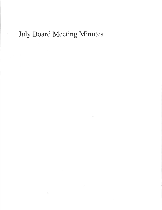## July Board Meeting Minutes

 $\frac{\partial \mathcal{L}}{\partial \mathbf{x}}$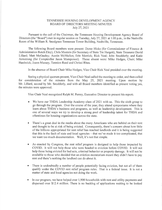## TENNESSEE HOUSING DEVELOPMENT AGENCY BOARD OF DIRECTORS MEETING MINUTES Iuly 27,2021

Pursuant to the call of the Chairman, the Tennessee Housing Development Agency Board of Directors (the "Board") met in regular session on Tuesday, July 27,2021 at I :00 p.m., in the Nashville Room of the William R. Snodgrass Tennessee Tower Building, Nashville, Tennessee.

The following Board members were present: Doree Hicks (for Commissioner of Finance & Administration Butch Eley), Chris Mustain (for Secretary of State Tre Hargett), State Treasurer David Lillard; Matt McGauley; Austin McMullen; Erin Merrick; Rick Neal; John Snodderly; and Katie Armstrong (for Comptroller Jason Mumpower). Those absent were: Mike Hedges, Chair; Mike Hardwick; Joann Massey, Tennion Reed and Chrissi Rhea.

In the absence of Board Chair Mike Hedges, Vice Chair Rick Neal presided over the rneeting.

Seeing a physical quorum present, Vice-Chair Neal called the meeting to order, and then called for consideration of the minutes from the May 25, 2021 meeting. Upon motion by Mr. Lillard, second by Mr. Snodderly, and with all Board members identified as present voting yes, the minutes were approved.

Vice Chair Neal recognized Ralph M. Perrey, Executive Director to present his report

- We have our THDA Leadership Academy class of 2021 with us. This the sixth group to go through the program. Over the course of the year, they attend symposiums where they learn about THDA's business and programs, as well as leadership development. This is one of several ways we try to develop a strong pool of leadership talent for THDA and oftentimes for housing organizations across the state.
- There's a great deal in the media about the many Americans who are behind on their rent and thought to be at risk of being evicted. Consequently, there's concern about how little of the billions appropriated for rent relief has reached landlords and it is being suggested that this is the fault of state and local agencies – that we've made it too complicated, that we want too much documentation. Well, it's not that simple. a
- o As enacted by Congress, the rent relief program is designed to help those impacted by COVID. It will not help those who were headed to eviction before COVID. It will not help those being evicted for bad acts, criminal behavior or property damage. It will not be available to those who decided that an eviction moratorium meant they didn't have to pay rent and there's nothing the landlord can do about it,
- a There is undoubtedly a number of people potentially facing eviction, but not all of them qualify under the COVID rent relief program rules. That is a federal issue. It is not <sup>a</sup> matter of state and local agencies not doing the work.
- a In our program, we have helped over 1,900 households with rent and utility payments and dispersed over \$12.4 million. There is no backlog of applications waiting to be looked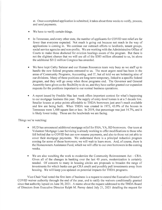at. Once a completed application is submitted, it takes about three weeks to verify, process, and send payments.

- We have to verify certain things.
- In Tennessee, and every other state, the number of applicants for COVID rent relief are far fewer than everyone expected. Not much is going out because not much in the way of applications is coming in. We continue our outreach efforts to landlords, tenant groups, social service agencies and non-profits. We are working with the Administrative Office of Courts to make those docketed for eviction hearings aware of the program. But there is not the slightest chance that we will use all of the \$383 million allocated to us, let alone the additional \$312 million Congress has awarded.
- We have kept Cathy Salazar and our Human Resources team very busy as we staff up to handle the new federal programs entrusted to us. The most urgent need has been in the areas of Community Programs, Accounting, and IT, but all told we are bolstering nine of our divisions. Many of these positions are long-term temporary, linked to a specific federal program, and they will go away when those programs end. The Governor and General Assembly have given us the flexibility to do so, and they have earlier granted our expansion requests for the positions important to our normal business operations. o
- A report issued by Freddie Mac last week offers important context for what's happening to our mortgage business this year. The supply of entry-level homes is at a 5 decade low. Smaller houses at price points affordable to THDA borrowers just aren't much available and few are being built. When THDA was created in 1973, 43.9% of the houses in Tennessee were 1,400 square feet or less. In 2019, that percentage was just 14.7%, and it is likely lower today. Those are the headwinds we are facing. o

Things we're watching:

- HUD has announced additional mortgage relief for FHA, VA, RD borrowers. Our team at Volunteer Mortgage Loan Servicing is already working to offer modifications to those who fell behind due to COVID but can now resume payments, and also to those not yet able to cover their mortgage payments. We understand there is a principal reduction program coming for some of those borrowers; we will wait to learn more. And, of course, there is the Homeowners Assistance Fund, which we will offer to our own borrowers in the coming weeks.
- We are also watching the work to modernize the Community Reinvestment  $Act CRA$ . Given all of the changes in banking over the last 40 years, modernization is certainly needed. Of concern to many in housing circles are proposals to broaden the range of investments for which banks can get CRA credit and possibly pull investments away from housing. We will keep you updated on potential impacts for THDA programs. a

Vice-Chair Neal noted the first item of business is a request to extend the Executive Director's COVID waiver authority through the end of the year, and to ratify the waivers conditionally granted since that authority lapsed on June 30,2021. A memo about the request addressed to the THDA Board of Directors from Executive Director Ralph M. Perrey dated July 21,2021 detailing the request for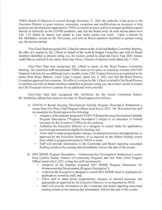THDA Board of Directors to extend through December 31, 2021 the authority it has given to the Executive Director to grant waivers, extensions, exceptions and modifications as necessary to help projects and developments supported by THDA to remain on track and/or to mitigate problems caused directly or indirectly by the COVID pandemic; and, that the Board ratify all such actions taken from July l-27 (listed in memo) was added to your board packet last week. Upon a motion by Mr. McMullen, second by Mr. McGauley, and with all Board members identified as present voting yes, the motion carried.

Vice-Chair Neal recognized Mr. Lillard to report on the Audit and Budget Committee Meeting. By offer of a motion by Mr. Lillard on behalf of the Audit & Budget Committee and with all Board members identified as present voting yes, the motion carried to adopt the Fiscal Year 2022 Annual Audit Plan as outlined in the memo from Gay Oliver, Director of Internal Audit dated July 7,2021.

Vice-Chair Neal then recognized Mr. Lillard to report on the Bond Finance Committee Meeting. He noted that staff recommends THDA exercise its option to extend its contract with CSG Financial Advisors for an additional twelve months on the CSG Contract Extension as explained in the memo from Bruce Balcom, Chief Legal Counsel, dated July 6, 2021 and that the Bond Finance Committee approved that extension. By offer of a motion by Mr. Lillard on behalf of the Bond Finance Committee and with all Board members identified as present voting yes, the motion carried to extend the CSG Financial Advisors contract for an additional twelve months.

Vice-Chair Neal then recognized Mr. McMullen for the Grants Committee Report. Mr. McMullen offered four items at one time for Board approval as follows:

- A. COVID-19 Rental Housing Development Subsidy Program Description Referenced <sup>a</sup> memo from Don Watt, Chief Program Officer dated July 6,2021. Mr. Watt noted that staff recommends the Board approve the following:
	- . Adoption ofthe attached proposed COVID-19 Rental Housing Development Subsidy Program Description ("Program Description") subject to an allocation of Federal resources by the Governor's Office for this purpose;
	- . Authorize the Executive Director or a designee to award funds for applications received and determined eligible for funding; and
	- . Allow staff to make programmatic changes, as deemed necessary and appropriate, as approved by the Executive Director, or as required by the federal funding source from which a program allocation to THDA is made.
	- . Staff will provide information to the Committee and Board regarding associated funding awards at the meeting that immediately follows the date of the awards.
- B. 2021 HOME Program Description Homeownership Development Referenced a memo from Cynthia Peraza, Director of Community Programs and Don Watt, Chief Program Officer dated July 6, 2021 noting that staff recommends:
	- . Adoption of the attached proposed 2021 HOME Program Description for Homeownership Development (Program Description"):
	- . Authorize the Executive or designee to award 2021 HOME funds to applicants for applications scored by staff; and,
	- . Allow staff to make minor programmatic changes, as deemed necessary and appropriate as approved by the Executive Director, or as requested by HUD;
	- . Staff will provide information to the Committee and board regarding associated funding awards at the meeting that immediately follows the date of the awards.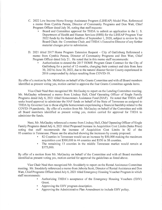- C. 2022 Low Income Home Energy Assistance Program (LIHEAP) Model Plan. Referenced a memo from Cynthia Peraza, Director of Community Programs and Don Watt, Chief Program Officer dated July 30, noting that staff requests:
	- . Board and Committee approval for THDA to submit an application to the U. S. Department of Health and Human Services (HHS) for the LIHEAP Program Year 2022 funds by the federal deadline of September 1, 2020, subject to review by the Board Chair, the Committee Chair, and THDA's Executive Director of any further material changes prior to submission.
- D. 2021 titled 2017 Home Program Extension Request City of Gatlinburg Referenced a memo from Cynthia Peraza, Director of Community Programs and Don Watt, Chief Program Officer dated July 21. He noted that in this memo staff recommends:
	- . Authorization to extend the 2017 HOME Program Grant Contract for the City of Gatlinburg for a period of 12-months, changing their contract end date from June 30,2021to June 30, 2022, due to the natural disaster Sevier County experienced in 2016 compounded by delays resulting from COVID-19.

By offer of a motion by Mr. McMullen on behalf of the Grants Committee and with all Board members identified as present voting yes, motion carried to approve the four Grants Committee agenda items.

Vice-Chair Neal then recognized Mr. McGauley to report on the Lending Committee meeting. Mr. McGauley referenced a memo from Lindsay Hall, Chief Operating Officer of Single Family Programs dated July 6, 2021 titled Homeowners Assistance Fund (HAF). He noted that THDA staff seeks board approval to administer the HAF funds on behalf of the State of Tennessee as assigned to THDA by Governor Lee to those eligible homeowners experiencing a financial hardship related to the COVID-19 pandemic. By offer of a motion from Mr. McGauley on behalf of the Committee and with all Board members identified as present voting yes, motion carried for approval for THDA to administer the funds.

Next, Mr. McGauley referenced a memo from Lindsay Hall, Chief Operating Officer of Single Family Programs dated July 6, 2021 titled Proposed Increase in Acquisition Cost Limits (Sales Price) noting that staff recommends the increase of Acquisition Cost Limits in 82 of the 95 counties in Tennessee. Please see the attached showing the increases by county proposed.

- . 82 Counties in Tennessee would see an increase by \$50,000 making the maximum acquisition cost \$300,000 in 44 counties and \$350 in 38 counties.
- . The remaining 13 counties in the middle Tennessee market would remain at \$375,000.

By offer of a motion from Mr. McGauley on behalf of the Committee and with all Board members identified as present voting yes, motion carried for approval the guidelines as listed above.

Vice Chair Neal then recognized Mr. Snodderly to report on the Rental Assistance Committee meeting. Mr. Snodderly referenced a memo from Jeboria Scott, Director of Rental Assistance and Don Watt, Chief Programs Officer dated July 6, 2021 titled Emergency Housing Voucher Program in which staff recommends:

- . Authorizing THDA's acceptance of the Emergency Housing Vouchers (EHV) Grant.
- . Approving the EHV program description.
- . Approving the Administrative Plan Amendment to include EHV policy.